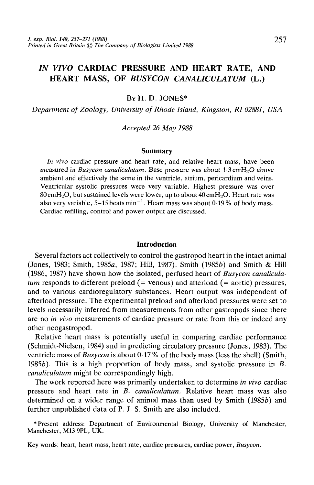# *IN VIVO* CARDIAC PRESSURE AND HEART RATE, AND HEART MASS, OF *BUSYCON CANALICULATUM* (L.)

BY H. D. JONES\*

*Department of Zoology, University of Rhode Island, Kingston, RI02881, USA*

*Accepted 26 May 1988*

## **Summary**

*In vivo* cardiac pressure and heart rate, and relative heart mass, have been measured in *Busycon canaliculatum*. Base pressure was about 1.3 cmH<sub>2</sub>O above ambient and effectively the same in the ventricle, atrium, pericardium and veins. Ventricular systolic pressures were very variable. Highest pressure was over  $80 \text{cm}$ H<sub>2</sub>O, but sustained levels were lower, up to about  $40 \text{cm}$ H<sub>2</sub>O. Heart rate was also very variable, 5–15 beats min<sup>-1</sup>. Heart mass was about 0.19% of body mass. Cardiac refilling, control and power output are discussed.

#### **Introduction**

Several factors act collectively to control the gastropod heart in the intact animal (Jones, 1983; Smith, 1985 $a$ , 1987; Hill, 1987). Smith (1985 $b$ ) and Smith  $\&$  Hill (1986, 1987) have shown how the isolated, perfused heart of *Busycon canaliculatum* responds to different preload (= venous) and afterload (= aortic) pressures, and to various cardioregulatory substances. Heart output was independent of afterload pressure. The experimental preload and afterload pressures were set to levels necessarily inferred from measurements from other gastropods since there are no *in vivo* measurements of cardiac pressure or rate from this or indeed any other neogastropod.

Relative heart mass is potentially useful in comparing cardiac performance (Schmidt-Nielsen, 1984) and in predicting circulatory pressure (Jones, 1983). The ventricle mass of *Busycon* is about 0-17 % of the body mass (less the shell) (Smith, 19856). This is a high proportion of body mass, and systolic pressure in *B. canaliculatum* might be correspondingly high.

The work reported here was primarily undertaken to determine *in vivo* cardiac pressure and heart rate in *B. canaliculatum.* Relative heart mass was also determined on a wider range of animal mass than used by Smith  $(1985b)$  and further unpublished data of P. J. S. Smith are also included.

\* Present address: Department of Environmental Biology, University of Manchester, Manchester, M13 9PL, UK.

Key words: heart, heart mass, heart rate, cardiac pressures, cardiac power, *Busycon.*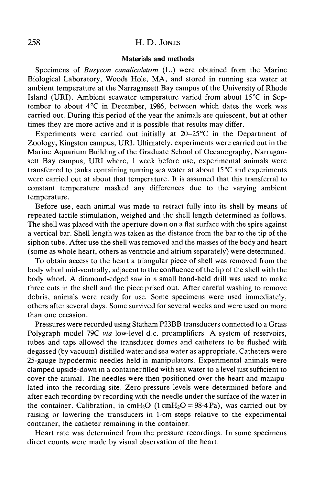# 258 H. D. JONES

## **Materials and methods**

Specimens of *Busycon canaliculatum* (L.) were obtained from the Marine Biological Laboratory, Woods Hole, MA, and stored in running sea water at ambient temperature at the Narragansett Bay campus of the University of Rhode Island (URI). Ambient seawater temperature varied from about 15°C in September to about 4°C in December, 1986, between which dates the work was carried out. During this period of the year the animals are quiescent, but at other times they are more active and it is possible that results may differ.

Experiments were carried out initially at  $20-25^{\circ}\text{C}$  in the Department of Zoology, Kingston campus, URI. Ultimately, experiments were carried out in the Marine Aquarium Building of the Graduate School of Oceanography, Narragansett Bay campus, URI where, 1 week before use, experimental animals were transferred to tanks containing running sea water at about 15 °C and experiments were carried out at about that temperature. It is assumed that this transferral to constant temperature masked any differences due to the varying ambient temperature.

Before use, each animal was made to retract fully into its shell by means of repeated tactile stimulation, weighed and the shell length determined as follows. The shell was placed with the aperture down on a flat surface with the spire against a vertical bar. Shell length was taken as the distance from the bar to the tip of the siphon tube. After use the shell was removed and the masses of the body and heart (some as whole heart, others as ventricle and atrium separately) were determined.

To obtain access to the heart a triangular piece of shell was removed from the body whorl mid-ventrally, adjacent to the confluence of the lip of the shell with the body whorl. A diamond-edged saw in a small hand-held drill was used to make three cuts in the shell and the piece prised out. After careful washing to remove debris, animals were ready for use. Some specimens were used immediately, others after several days. Some survived for several weeks and were used on more than one occasion.

Pressures were recorded using Statham P23BB transducers connected to a Grass Polygraph model 79C *via* low-level d.c. preamplifiers. A system of reservoirs, tubes and taps allowed the transducer domes and catheters to be flushed with degassed (by vacuum) distilled water and sea water as appropriate. Catheters were 25-gauge hypodermic needles held in manipulators. Experimental animals were clamped upside-down in a container filled with sea water to a level just sufficient to cover the animal. The needles were then positioned over the heart and manipulated into the recording site. Zero pressure levels were determined before and after each recording by recording with the needle under the surface of the water in the container. Calibration, in cmH<sub>2</sub>O (1 cmH<sub>2</sub>O = 98.4 Pa), was carried out by raising or lowering the transducers in 1-cm steps relative to the experimental container, the catheter remaining in the container.

Heart rate was determined from the pressure recordings. In some specimens direct counts were made by visual observation of the heart.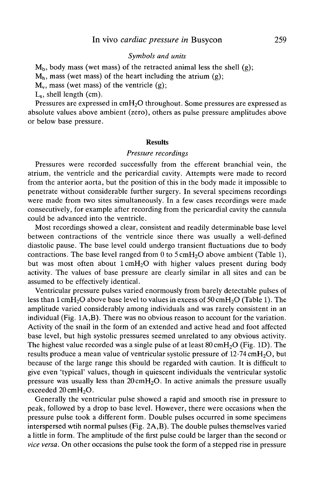# *Symbols and units*

 $M<sub>b</sub>$ , body mass (wet mass) of the retracted animal less the shell (g);

 $M<sub>h</sub>$ , mass (wet mass) of the heart including the atrium (g);

 $M_{\nu}$ , mass (wet mass) of the ventricle (g);

 $L<sub>s</sub>$ , shell length (cm).

Pressures are expressed in cmH<sub>2</sub>O throughout. Some pressures are expressed as absolute values above ambient (zero), others as pulse pressure amplitudes above or below base pressure.

#### **Results**

## *Pressure recordings*

Pressures were recorded successfully from the efferent branchial vein, the atrium, the ventricle and the pericardial cavity. Attempts were made to record from the anterior aorta, but the position of this in the body made it impossible to penetrate without considerable further surgery. In several specimens recordings were made from two sites simultaneously. In a few cases recordings were made consecutively, for example after recording from the pericardial cavity the cannula could be advanced into the ventricle.

Most recordings showed a clear, consistent and readily determinable base level between contractions of the ventricle since there was usually a well-defined diastolic pause. The base level could undergo transient fluctuations due to body contractions. The base level ranged from 0 to  $5 \text{ cm}H_2O$  above ambient (Table 1), but was most often about  $1 \text{cm}H_2O$  with higher values present during body activity. The values of base pressure are clearly similar in all sites and can be assumed to be effectively identical.

Ventricular pressure pulses varied enormously from barely detectable pulses of less than  $1 \text{ cm}$ H<sub>2</sub>O above base level to values in excess of 50 cmH<sub>2</sub>O (Table 1). The amplitude varied considerably among individuals and was rarely consistent in an individual (Fig. 1A,B). There was no obvious reason to account for the variation. Activity of the snail in the form of an extended and active head and foot affected base level, but high systolic pressures seemed unrelated to any obvious activity. The highest value recorded was a single pulse of at least  $80 \text{ cm}H<sub>2</sub>O$  (Fig. 1D). The results produce a mean value of ventricular systolic pressure of  $12.74 \text{ cm}$ H<sub>2</sub>O, but because of the large range this should be regarded with caution. It is difficult to give even 'typical' values, though in quiescent individuals the ventricular systolic pressure was usually less than  $20 \text{ cm} + 12$ . In active animals the pressure usually exceeded 20 cmH<sub>2</sub>O.

Generally the ventricular pulse showed a rapid and smooth rise in pressure to peak, followed by a drop to base level. However, there were occasions when the pressure pulse took a different form. Double pulses occurred in some specimens interspersed wtih normal pulses (Fig. 2A,B). The double pulses themselves varied a little in form. The amplitude of the first pulse could be larger than the second or *vice versa.* On other occasions the pulse took the form of a stepped rise in pressure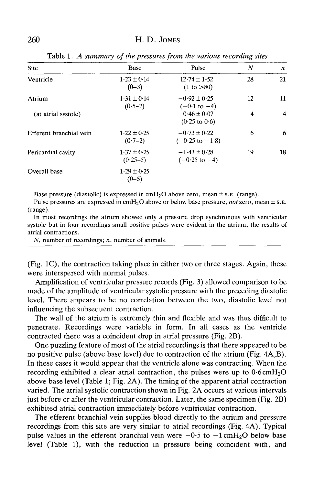| <b>Site</b>             | <b>Base</b>                   | Pulse                                          | N  | $\boldsymbol{n}$ |
|-------------------------|-------------------------------|------------------------------------------------|----|------------------|
| Ventricle               | $1.23 \pm 0.14$<br>$(0-3)$    | $12.74 \pm 1.52$<br>(1 to > 80)                | 28 | 21               |
| Atrium                  | $1.31 \pm 0.14$<br>$(0.5-2)$  | $-0.92 \pm 0.25$<br>$(-0.1 \text{ to } -4)$    | 12 | 11               |
| (at atrial systole)     |                               | $0.46 \pm 0.07$<br>$(0.25 \text{ to } 0.6)$    | 4  | 4                |
| Efferent branchial vein | $1.22 \pm 0.25$<br>$(0.7-2)$  | $-0.73 \pm 0.22$<br>$(-0.25 \text{ to } -1.8)$ | 6  | 6                |
| Pericardial cavity      | $1.37 \pm 0.25$<br>$(0.25-5)$ | $-1.43 \pm 0.28$<br>$(-0.25 \text{ to } -4)$   | 19 | 18               |
| Overall base            | $1.29 \pm 0.25$<br>$(0-5)$    |                                                |    |                  |

Table 1. *A summary of the pressures from the various recording sites*

Base pressure (diastolic) is expressed in  $cmH<sub>2</sub>O$  above zero, mean  $\pm$  s. E. (range).

Pulse pressures are expressed in cmH2O above or below base pressure, *not* zero, mean ± S.E. (range).

In most recordings the atrium showed only a pressure drop synchronous with ventricular systole but in four recordings small positive pulses were evident in the atrium, the results of atrial contractions.

N, number of recordings; *n*, number of animals.

(Fig. 1C), the contraction taking place in either two or three stages. Again, these were interspersed with normal pulses.

Amplification of ventricular pressure records (Fig. 3) allowed comparison to be made of the amplitude of ventricular systolic pressure with the preceding diastolic level. There appears to be no correlation between the two, diastolic level not influencing the subsequent contraction.

The wall of the atrium is extremely thin and flexible and was thus difficult to penetrate. Recordings were variable in form. In all cases as the ventricle contracted there was a coincident drop in atrial pressure (Fig. 2B).

One puzzling feature of most of the atrial recordings is that there appeared to be no positive pulse (above base level) due to contraction of the atrium (Fig. 4A,B). In these cases it would appear that the ventricle alone was contracting. When the recording exhibited a clear atrial contraction, the pulses were up to  $0.6 \text{cm}$ H<sub>2</sub>O above base level (Table 1; Fig. 2A). The timing of the apparent atrial contraction varied. The atrial systolic contraction shown in Fig. 2A occurs at various intervals just before or after the ventricular contraction. Later, the same specimen (Fig. 2B) exhibited atrial contraction immediately before ventricular contraction.

The efferent branchial vein supplies blood directly to the atrium and pressure recordings from this site are very similar to atrial recordings (Fig. 4A). Typical pulse values in the efferent branchial vein were  $-0.5$  to  $-1$  cmH<sub>2</sub>O below base level (Table 1), with the reduction in pressure being coincident with, and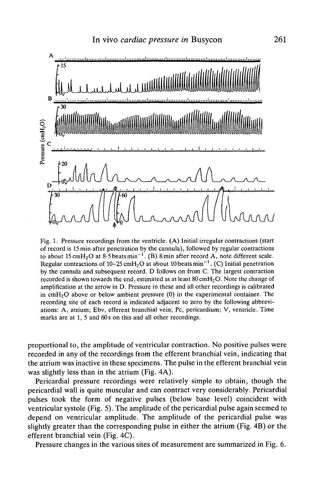

Fig. 1. Pressure recordings from the ventricle. (A) Initial irregular contractions (start of record is 15 min after penetration by the cannula), followed by regular contractions to about 15 cmH<sub>2</sub>O at 8.5 beats min<sup>-1</sup>. (B) 8 min after record A, note different scale. Regular contractions of 10-25 cmH<sub>2</sub>O at about 10 beats min<sup>-1</sup>. (C) Initial penetration by the cannula and subsequent record. D follows on from C. The largest contraction recorded is shown towards the end, estimated as at least  $80 \text{ cm}H_2O$ . Note the change of amplification at the arrow in D. Pressure in these and all other recordings is calibrated in  $cmH<sub>2</sub>O$  above or below ambient pressure (0) in the experimental container. The recording site of each record is indicated adjacent to zero by the following abbreviations: A, atrium; Ebv, efferent branchial vein; Pc, pericardium; V, ventricle. Time marks are at 1, 5 and 60s on this and all other recordings.

proportional to, the amplitude of ventricular contraction. No positive pulses were recorded in any of the recordings from the efferent branchial vein, indicating that the atrium was inactive in these specimens. The pulse in the efferent branchial vein was slightly less than in the atrium (Fig. 4A).

Pericardial pressure recordings were relatively simple to obtain, though the pericardial wall is quite muscular and can contract very considerably. Pericardial pulses took the form of negative pulses (below base level) coincident with ventricular systole (Fig. 5). The amplitude of the pericardial pulse again seemed to depend on ventricular amplitude. The amplitude of the pericardial pulse was slightly greater than the corresponding pulse in either the atrium (Fig. 4B) or the efferent branchial vein (Fig. 4C).

Pressure changes in the various sites of measurement are summarized in Fig. 6.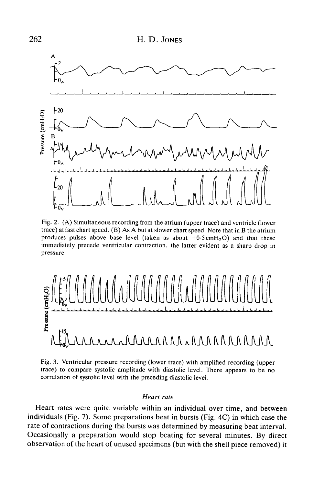

Fig. 2. (A) Simultaneous recording from the atrium (upper trace) and ventricle (lower trace) at fast chart speed. (B) As A but at slower chart speed. Note that in B the atrium produces pulses above base level (taken as about  $+0.5 \text{cm}H_2\text{O}$ ) and that these immediately precede ventricular contraction, the latter evident as a sharp drop in pressure.



Fig. 3. Ventricular pressure recording (lower trace) with amplified recording (upper trace) to compare systolic amplitude with diastolic level. There appears to be no correlation of systolic level with the preceding diastolic level.

## *Heart rate*

Heart rates were quite variable within an individual over time, and between individuals (Fig. 7). Some preparations beat in bursts (Fig. 4C) in which case the rate of contractions during the bursts was determined by measuring beat interval. Occasionally a preparation would stop beating for several minutes. By direct observation of the heart of unused specimens (but with the shell piece removed) it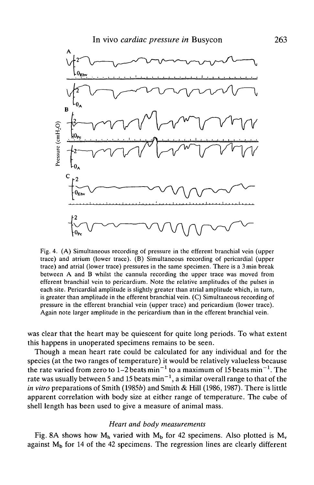

Fig. 4. (A) Simultaneous recording of pressure in the efferent branchial vein (upper trace) and atrium (lower trace). (B) Simultaneous recording of pericardial (upper trace) and atrial (lower trace) pressures in the same specimen. There is a 3min break between A and B whilst the cannula recording the upper trace was moved from efferent branchial vein to pericardium. Note the relative amplitudes of the pulses in each site. Pericardial amplitude is slightly greater than atrial amplitude which, in turn, is greater than amplitude in the efferent branchial vein. (C) Simultaneous recording of pressure in the efferent branchial vein (upper trace) and pericardium (lower trace). Again note larger amplitude in the pericardium than in the efferent branchial vein.

was clear that the heart may be quiescent for quite long periods. To what extent this happens in unoperated specimens remains to be seen.

Though a mean heart rate could be calculated for any individual and for the species (at the two ranges of temperature) it would be relatively valueless because the rate varied from zero to 1-2 beats min<sup>-1</sup> to a maximum of 15 beats min<sup>-1</sup>. The rate was usually between 5 and 15 beats  $\text{min}^{-1},$  a similar overall range to that of the *in vitro* preparations of Smith (1985b) and Smith & Hill (1986, 1987). There is little apparent correlation with body size at either range of temperature. The cube of shell length has been used to give a measure of animal mass.

## *Heart and body measurements*

Fig. 8A shows how  $M_h$  varied with  $M_b$  for 42 specimens. Also plotted is  $M_v$ against  $M<sub>b</sub>$  for 14 of the 42 specimens. The regression lines are clearly different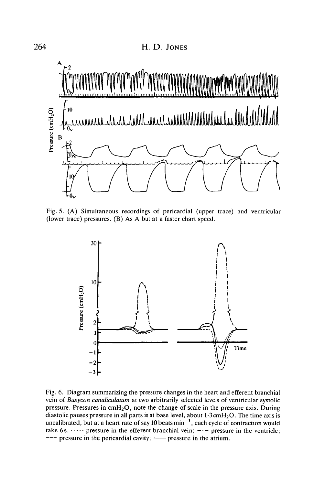

Fig. 5. (A) Simultaneous recordings of pericardial (upper trace) and ventricular (lower trace) pressures. (B) As A but at a faster chart speed.



Fig. 6. Diagram summarizing the pressure changes in the heart and efferent branchial vein of *Busycon canaliculatum* at two arbitrarily selected levels of ventricular systolic pressure. Pressures in  $cmH<sub>2</sub>O$ , note the change of scale in the pressure axis. During diastolic pauses pressure in all parts is at base level, about  $1.3 \text{ cm}H_2O$ . The time axis is uncalibrated, but at a heart rate of say 10 beats  $min^{-1}$ , each cycle of contraction would take 6s.  $\cdots$  pressure in the efferent branchial vein;  $-\cdots$  pressure in the ventricle;  $---$  pressure in the pericardial cavity;  $---$  pressure in the atrium.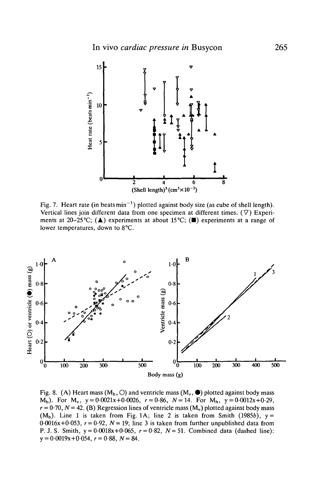

Fig. 7. Heart rate (in beats  $min^{-1}$ ) plotted against body size (as cube of shell length). Vertical lines join different data from one specimen at different times.  $(\nabla)$  Experiments at 20-25°C; ( $\triangle$ ) experiments at about 15°C; ( $\blacksquare$ ) experiments at a range of lower temperatures, down to 8°C.



Fig. 8. (A) Heart mass ( $M_h$ , O) and ventricle mass ( $M_v$ ,  $\bullet$ ) plotted against body mass  $M_b$ ). For  $M_v$ ,  $y = 0.0021x + 0.0026$ ,  $r = 0.86$ ,  $N = 14$ . For  $M_h$ ,  $y = 0.0012x + 0.29$ ,  $r = 0.70$ ,  $N = 42$ . (B) Regression lines of ventricle mass (M<sub>v</sub>) plotted against body mass  $(M_h)$ . Line 1 is taken from Fig. 1A; line 2 is taken from Smith (1985b),  $y =$  $0.0016x+0.053$ ,  $r = 0.92$ ,  $N = 19$ ; line 3 is taken from further unpublished data from P. J. S. Smith,  $y = 0.0018x + 0.065$ ,  $r = 0.82$ ,  $N = 51$ . Combined data (dashed line): y = 0-0019x+0-054, *r =* 0-88, *N =* 84.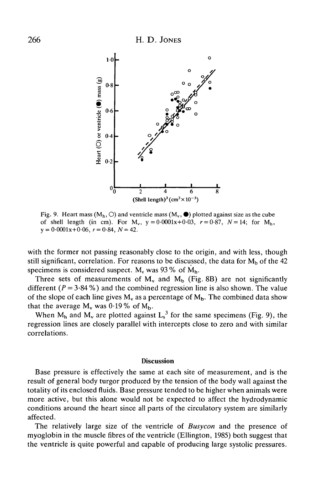

Fig. 9. Heart mass  $(M_h, \bigcirc)$  and ventricle mass  $(M_v, \bullet)$  plotted against size as the cube of shell length (in cm). For  $M_v$ ,  $y = 0.0001x + 0.03$ ,  $r = 0.87$ ,  $N = 14$ ; for  $M_h$ ,  $y = 0.0001x + 0.06$ ,  $r = 0.84$ ,  $N = 42$ .

with the former not passing reasonably close to the origin, and with less, though still significant, correlation. For reasons to be discussed, the data for  $M_b$  of the 42 specimens is considered suspect.  $M_v$  was 93% of  $M_h$ .

Three sets of measurements of  $M_v$  and  $M_b$  (Fig. 8B) are not significantly different  $(P = 3.84\%)$  and the combined regression line is also shown. The value of the slope of each line gives  $M_v$  as a percentage of  $M_b$ . The combined data show that the average  $M_v$  was 0.19% of  $M_b$ .

When  $M_h$  and  $M_v$  are plotted against  $L_s^3$  for the same specimens (Fig. 9), the regression lines are closely parallel with intercepts close to zero and with similar correlations.

## **Discussion**

Base pressure is effectively the same at each site of measurement, and is the result of general body turgor produced by the tension of the body wall against the totality of its enclosed fluids. Base pressure tended to be higher when animals were more active, but this alone would not be expected to affect the hydrodynamic conditions around the heart since all parts of the circulatory system are similarly affected.

The relatively large size of the ventricle of *Busycon* and the presence of myoglobin in the muscle fibres of the ventricle (Ellington, 1985) both suggest that the ventricle is quite powerful and capable of producing large systolic pressures.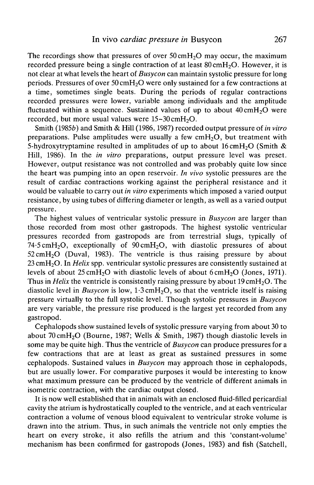The recordings show that pressures of over  $50 \text{cm} H<sub>2</sub>O$  may occur, the maximum recorded pressure being a single contraction of at least  $80 \text{ cm}H_2O$ . However, it is not clear at what levels the heart of *Busycon* can maintain systolic pressure for long periods. Pressures of over 50cmH2O were only sustained for a few contractions at a time, sometimes single beats. During the periods of regular contractions recorded pressures were lower, variable among individuals and the amplitude fluctuated within a sequence. Sustained values of up to about  $40 \text{ cm}$ H<sub>2</sub>O were recorded, but more usual values were  $15-30 \text{ cm}H_2O$ .

Smith (19856) and Smith & Hill (1986,1987) recorded output pressure of *in vitro* preparations. Pulse amplitudes were usually a few cmH<sub>2</sub>O, but treatment with 5-hydroxytryptamine resulted in amplitudes of up to about  $16 \text{ cm}$ H<sub>2</sub>O (Smith & Hill, 1986). In the *in vitro* preparations, output pressure level was preset. However, output resistance was not controlled and was probably quite low since the heart was pumping into an open reservoir. *In vivo* systolic pressures are the result of cardiac contractions working against the peripheral resistance and it would be valuable to carry out *in vitro* experiments which imposed a varied output resistance, by using tubes of differing diameter or length, as well as a varied output pressure.

The highest values of ventricular systolic pressure in *Busycon* are larger than those recorded from most other gastropods. The highest systolic ventricular pressures recorded from gastropods are from terrestrial slugs, typically of 74.5 cmH<sub>2</sub>O, exceptionally of  $90 \text{ cm}$ H<sub>2</sub>O, with diastolic pressures of about  $52 \text{ cm}$ H<sub>2</sub>O (Duval, 1983). The ventricle is thus raising pressure by about 23 cmH2O. In *Helix* spp. ventricular systolic pressures are consistently sustained at levels of about  $25 \text{cm}H_2O$  with diastolic levels of about  $6 \text{cm}H_2O$  (Jones, 1971). Thus in *Helix* the ventricle is consistently raising pressure by about 19 cmH<sub>2</sub>O. The diastolic level in *Busycon* is low,  $1.3 \text{cm}$ *H<sub>2</sub>O*, so that the ventricle itself is raising pressure virtually to the full systolic level. Though systolic pressures in *Busycon* are very variable, the pressure rise produced is the largest yet recorded from any gastropod.

Cephalopods show sustained levels of systolic pressure varying from about 30 to about 70cmH2O (Bourne, 1987; Wells & Smith, 1987) though diastolic levels in some may be quite high. Thus the ventricle of *Busycon* can produce pressures for a few contractions that are at least as great as sustained pressures in some cephalopods. Sustained values in *Busycon* may approach those in cephalopods, but are usually lower. For comparative purposes it would be interesting to know what maximum pressure can be produced by the ventricle of different animals in isometric contraction, with the cardiac output closed.

It is now well established that in animals with an enclosed fluid-filled pericardial cavity the atrium is hydrostatically coupled to the ventricle, and at each ventricular contraction a volume of venous blood equivalent to ventricular stroke volume is drawn into the atrium. Thus, in such animals the ventricle not only empties the heart on every stroke, it also refills the atrium and this 'constant-volume' mechanism has been confirmed for gastropods (Jones, 1983) and fish (Satchell,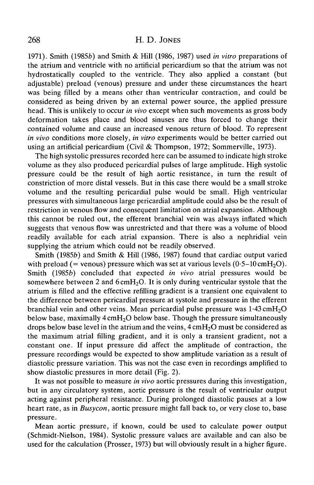1971). Smith (19856) and Smith & Hill (1986, 1987) used *in vitro* preparations of the atrium and ventricle with no artificial pericardium so that the atrium was not hydrostatically coupled to the ventricle. They also applied a constant (but adjustable) preload (venous) pressure and under these circumstances the heart was being filled by a means other than ventricular contraction, and could be considered as being driven by an external power source, the applied pressure head. This is unlikely to occur *in vivo* except when such movements as gross body deformation takes place and blood sinuses are thus forced to change their contained volume and cause an increased venous return of blood. To represent *in vivo* conditions more closely, *in vitro* experiments would be better carried out using an artificial pericardium (Civil & Thompson, 1972; Sommerville, 1973).

The high systolic pressures recorded here can be assumed to indicate high stroke volume as they also produced pericardial pulses of large amplitude. High systolic pressure could be the result of high aortic resistance, in turn the result of constriction of more distal vessels. But in this case there would be a small stroke volume and the resulting pericardial pulse would be small. High ventricular pressures with simultaneous large pericardial amplitude could also be the result of restriction in venous flow and consequent limitation on atrial expansion. Although this cannot be ruled out, the efferent branchial vein was always inflated which suggests that venous flow was unrestricted and that there was a volume of blood readily available for each atrial expansion. There is also a nephridial vein supplying the atrium which could not be readily observed.

Smith (1985b) and Smith & Hill (1986, 1987) found that cardiac output varied with preload (= venous) pressure which was set at various levels  $(0.5-10 \text{ cm}H_2O)$ . Smith (1985b) concluded that expected *in vivo* atrial pressures would be somewhere between 2 and  $6 \text{cm}$ H<sub>2</sub>O. It is only during ventricular systole that the atrium is filled and the effective refilling gradient is a transient one equivalent to the difference between pericardial pressure at systole and pressure in the efferent branchial vein and other veins. Mean pericardial pulse pressure was  $1.43 \text{ cm}$ H<sub>2</sub>O below base, maximally  $4 \text{cm} H_2O$  below base. Though the pressure simultaneously drops below base level in the atrium and the veins,  $4 \text{ cm}H<sub>2</sub>O$  must be considered as the maximum atrial filling gradient, and it is only a transient gradient, not a constant one. If input pressure did affect the amplitude of contraction, the pressure recordings would be expected to show amplitude variation as a result of diastolic pressure variation. This was not the case even in recordings amplified to show diastolic pressures in more detail (Fig. 2).

It was not possible to measure *in vivo* aortic pressures during this investigation, but in any circulatory system, aortic pressure is the result of ventricular output acting against peripheral resistance. During prolonged diastolic pauses at a low heart rate, as in *Busycon*, aortic pressure might fall back to, or very close to, base pressure.

Mean aortic pressure, if known, could be used to calculate power output (Schmidt-Nielson, 1984). Systolic pressure values are available and can also be used for the calculation (Prosser, 1973) but will obviously result in a higher figure.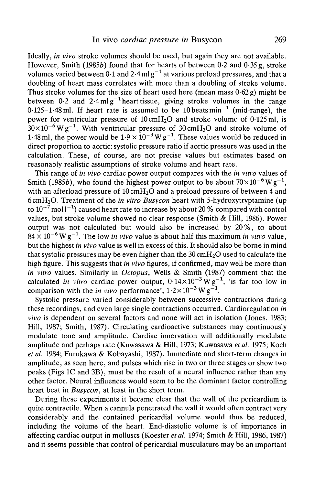Ideally, *in vivo* stroke volumes should be used, but again they are not available. However, Smith (1985b) found that for hearts of between  $0.2$  and  $0.35$  g, stroke volumes varied between  $0\cdot 1$  and 2 $\cdot$ 4 ml  $\rm g^{-1}$  at various preload pressures, and that a doubling of heart mass correlates with more than a doubling of stroke volume. Thus stroke volumes for the size of heart used here (mean mass  $0.62 g$ ) might be between  $0.2$  and  $2.4$  mlg<sup>-1</sup> heart tissue, giving stroke volumes in the range 0.125–1.48 ml. If heart rate is assumed to be 10 beats min<sup>-1</sup> (mid-range), the power for ventricular pressure of  $10 \text{cm}H_2O$  and stroke volume of  $0.125 \text{ ml}$ , is  $30\times10^{-6}$  W g<sup>-1</sup>. With ventricular pressure of 30 cmH<sub>2</sub>O and stroke volume of 1.48 ml, the power would be  $1.9 \times 10^{-3}$  W g<sup>-1</sup>. These values would be reduced in direct proportion to aortic: systolic pressure ratio if aortic pressure was used in the calculation. These, of course, are not precise values but estimates based on reasonably realistic assumptions of stroke volume and heart rate.

This range of *in vivo* cardiac power output compares with the *in vitro* values of Smith (1985*b*), who found the highest power output to be about  $70\times10^{-6}\,\mathrm{W\,g^{-1}}$ , with an afterload pressure of  $10 \text{ cm}$ H<sub>2</sub>O and a preload pressure of between 4 and 6cmH2O. Treatment of the *in vitro Busycon* heart with 5-hydroxytryptamine (up to  $10^{-7}\,$ mol l $^{-1})$  caused heart rate to increase by about 20 % compared with control values, but stroke volume showed no clear response (Smith & Hill, 1986). Power output was not calculated but would also be increased by 20%, to about  $84 \times 10^{-6}$  W g<sup>-1</sup>. The low *in vivo* value is about half this maximum *in vitro* value, but the highest *in vivo* value is well in excess of this. It should also be borne in mind that systolic pressures may be even higher than the  $30 \text{ cm}H<sub>2</sub>O$  used to calculate the high figure. This suggests that *in vivo* figures, if confirmed, may well be more than *in vitro* values. Similarly in *Octopus,* Wells & Smith (1987) comment that the calculated *in vitro* cardiac power output,  $0.14 \times 10^{-3}$  W g<sup>-1</sup>, 'is far too low in comparison with the *in vivo* performance',  $1.2 \times 10^{-3}$  W g<sup>-1</sup>.

Systolic pressure varied considerably between successive contractions during these recordings, and even large single contractions occurred. Cardioregulation *in vivo* is dependent on several factors and none will act in isolation (Jones, 1983; Hill, 1987; Smith, 1987). Circulating cardioactive substances may continuously modulate tone and amplitude. Cardiac innervation will additionally modulate amplitude and perhaps rate (Kuwasawa & Hill, 1973; Kuwasawa *et al.* 1975; Koch *et al.* 1984; Furukawa & Kobayashi, 1987). Immediate and short-term changes in amplitude, as seen here, and pulses which rise in two or three stages or show two peaks (Figs 1C and 3B), must be the result of a neural influence rather than any other factor. Neural influences would seem to be the dominant factor controlling heart beat in *Busycon,* at least in the short term.

During these experiments it became clear that the wall of the pericardium is quite contractile. When a cannula penetrated the wall it would often contract very considerably and the contained pericardial volume would thus be reduced, including the volume of the heart. End-diastolic volume is of importance in affecting cardiac output in molluscs (Koester *et al.* 1974; Smith & Hill, 1986, 1987) and it seems possible that control of pericardial musculature may be an important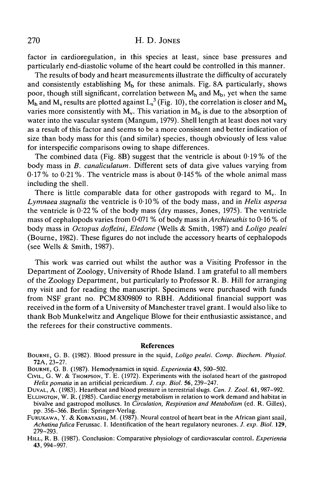factor in cardioregulation, in this species at least, since base pressures and particularly end-diastolic volume of the heart could be controlled in this manner.

The results of body and heart measurements illustrate the difficulty of accurately and consistently establishing  $M_b$  for these animals. Fig. 8A particularly, shows poor, though still significant, correlation between  $M_h$  and  $M_h$ , yet when the same  $\rm M_h$  and  $\rm M_v$  results are plotted against  $\rm L_s^{\text{-}3}$  (Fig. 10), the correlation is closer and  $\rm M_h$ varies more consistently with  $M_v$ . This variation in  $M_b$  is due to the absorption of water into the vascular system (Mangum, 1979). Shell length at least does not vary as a result of this factor and seems to be a more consistent and better indication of size than body mass for this (and similar) species, though obviously of less value for interspecific comparisons owing to shape differences.

The combined data (Fig. 8B) suggest that the ventricle is about 0-19% of the body mass in *B. canaliculatum.* Different sets of data give values varying from 0-17 % to 0-21 %. The ventricle mass is about 0-145 % of the whole animal mass including the shell.

There is little comparable data for other gastropods with regard to  $M_v$ . In *Lymnaea stagnalis* the ventricle is 0-10% of the body mass, and in *Helix aspersa* the ventricle is  $0.22\%$  of the body mass (dry masses, Jones, 1975). The ventricle mass of cephalopods varies from 0-071 % of body mass in *Architeuthis* to 0-16 % of body mass in *Octopus dofleini, Eledone* (Wells & Smith, 1987) and *Loligo pealei* (Bourne, 1982). These figures do not include the accessory hearts of cephalopods (see Wells & Smith, 1987).

This work was carried out whilst the author was a Visiting Professor in the Department of Zoology, University of Rhode Island. I am grateful to all members of the Zoology Department, but particularly to Professor R. B. Hill for arranging my visit and for reading the manuscript. Specimens were purchased with funds from NSF grant no. PCM 8309809 to RBH. Additional financial support was received in the form of a University of Manchester travel grant. I would also like to thank Bob Munkelwitz and Angelique Blowe for their enthusiastic assistance, and the referees for their constructive comments.

## References

BOURNE, G. B. (1982). Blood pressure in the squid, *Loligo pealei. Comp. Biochem. Physiol.*

**72A,** 23-27. BOURNE, G. B. (1987). Hemodynamics in squid. *Experientia* 43, 500-502. CIVIL, G. W. & THOMPSON, T. E. (1972). Experiments with the isolated heart of the gastropod Helix pomatia in an artificial pericardium. J. exp. Biol. 56, 239–247.<br>DUVAL, A. (1983). Heartbeat and blood pressure in terrestrial slugs. Can. J. Zool. 61, 987–992.<br>ELLINGTON, W. R. (1985). Cardiac energy metabolism in r

bivalve and gastropod molluscs. In *Circulation, Respiration and Metabolism* (ed. R. Gilles),

pp. 356–366. Berlin: Springer-Verlag.<br>FURUKAWA, Y. & KOBAYASHI, M. (1987). Neural control of heart beat in the African giant snail,<br>*Achatina fulica* Ferussac. I. Identification of the heart regulatory neurones. *J. exp. B* 

279-293. HILL, R. B. (1987). Conclusion: Comparative physiology of cardiovascular control. *Experientia* 43, 994-997.